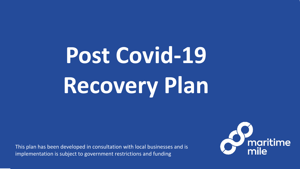# **Post Covid-19 Recovery Plan**

This plan has been developed in consultation with local businesses and is implementation is subject to government restrictions and funding

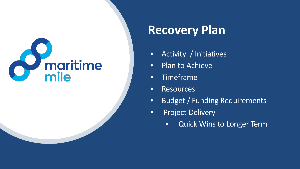### **Recovery Plan**

- Activity / Initiatives
- Plan to Achieve
- Timeframe
- Resources
- Budget / Funding Requirements
- Project Delivery
	- Quick Wins to Longer Term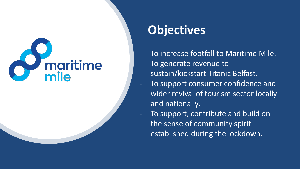#### **Objectives**

- To increase footfall to Maritime Mile.
- To generate revenue to su stain/kickstart Titanic Belfast.
- To support consumer confidence and wider revival of tourism sector locally and nationally.
- To support, contribute and build o n the sense of community spirit established during the lockdown.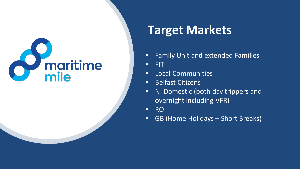#### **Target Markets**

- Family Unit and extended Families
- FIT
- Local Communities
- Belfast Citizens
- NI Domestic (both day trippers and overnight including VFR)
- ROI
- GB (Home Holidays Short Breaks)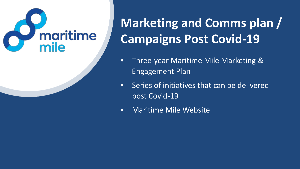### **Marketing and Comms plan / Campaigns Post Covid-19**

- Three-year Maritime Mile Marketing & Engagement Plan
- Series of initiatives that can be delivered post Covid-19
- Maritime Mile Website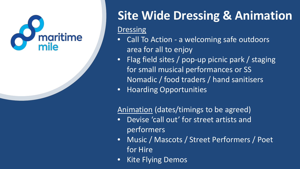

### **Site Wide Dressing & Animation**

#### **Dressing**

- Call To Action a welcoming safe outdoors area for all to enjoy
- Flag field sites / pop-up picnic park / staging for small musical performances or SS Nomadic / food traders / hand sanitisers
- Hoarding Opportunities

#### Animation (dates/timings to be agreed)

- Devise 'call out' for street artists and performers
- Music / Mascots / Street Performers / Poet for Hire
- Kite Flying Demos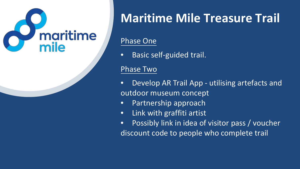

### **Maritime Mile Treasure Trail**

#### Phase One

• Basic self-guided trail.

#### Phase Two

- Develop AR Trail App utilising artefacts and outdoor museum concept
- Partnership approach
- Link with graffiti artist
- Possibly link in idea of visitor pass / voucher discount code to people who complete trail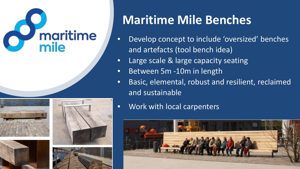# *S*<br>
maritime







### **Maritime Mile Benches**

- Develop concept to include 'oversized' benches and artefacts (tool bench idea)
- Large scale & large capacity seating
- Between 5m -10m in length
- Basic, elemental, robust and resilient, reclaimed and sustainable
- Work with local carpenters

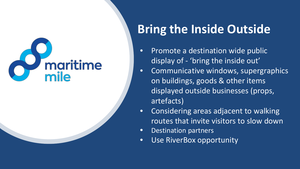### **Bring the Inside Outside**

- Promote a destination wide public display of - 'bring the inside out'
- Communicative windows, supergraphics on buildings, goods & other items displayed outside businesses (props, artefacts)
- Considering areas adjacent to walking routes that invite visitors to slow down
- Destination partners
- Use RiverBox opportunity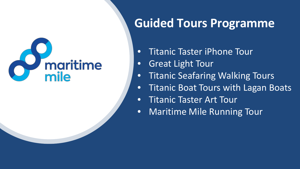#### **Guided Tours Programme**

- Titanic Taster iPhone Tour
- Great Light Tour
- Titanic Seafaring Walking Tours
- Titanic Boat Tours with Lagan Boats
- Titanic Taster Art Tour
- Maritime Mile Running Tour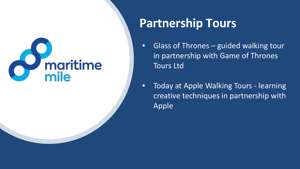#### **Partnership Tours**

- Glass of Thrones guided walking tour in partnership with Game of Thrones Tours Ltd
- Today at Apple Walking Tours learning creative techniques in partnership with Apple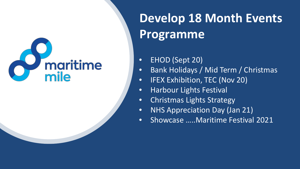### **Develop 18 Month Events Programme**

- EHOD (Sept 20)
- Bank Holidays / Mid Term / Christmas
- IFEX Exhibition, TEC (Nov 20)
- **•** Harbour Lights Festival
- Christmas Lights Strategy
- NHS Appreciation Day (Jan 21)
- Showcase …..Maritime Festival 2021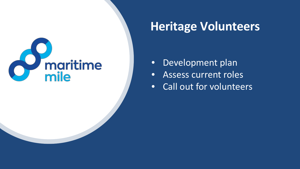

#### **Heritage Volunteers**

- Development plan
- Assess current roles
- Call out for volunteers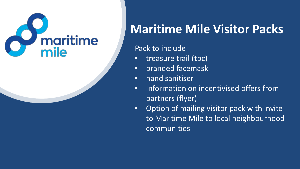

### **Maritime Mile Visitor Packs**

#### Pack to include

- treasure trail (tbc)
- branded facemask
- hand sanitiser
- Information on incentivised offers from partners (flyer)
- Option of mailing visitor pack with invite to Maritime Mile to local neighbourhood communities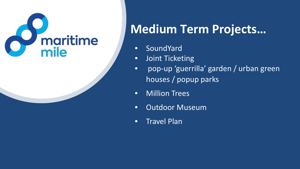

### **Medium Term Projects…**

- SoundYard
- Joint Ticketing
- pop-up 'guerrilla' garden / urban green houses / popup parks
- Million Trees
- Outdoor Museum
- Travel Plan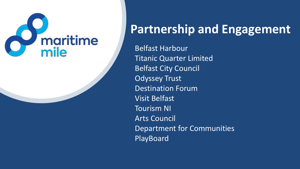

### **Partnership and Engagement**

Belfast Harbour Titanic Quarter Limited Belfast City Council Odyssey Trust Destination Forum Visit Belfast Tourism NI Arts Council Department for Communities PlayBoard